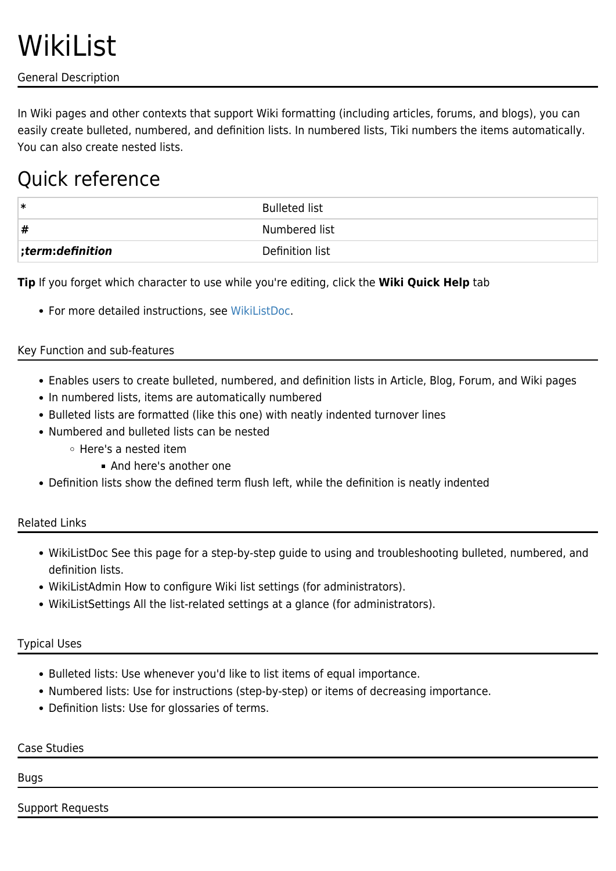General Description

In Wiki pages and other contexts that support Wiki formatting (including articles, forums, and blogs), you can easily create bulleted, numbered, and definition lists. In numbered lists, Tiki numbers the items automatically. You can also create nested lists.

# Quick reference

| ∣∗                   | <b>Bulleted list</b> |
|----------------------|----------------------|
| #                    | Numbered list        |
| $ ;$ term:definition | Definition list      |

**Tip** If you forget which character to use while you're editing, click the **Wiki Quick Help** tab

For more detailed instructions, see [WikiListDoc.](https://tiki.org/WikiListDoc)

## Key Function and sub-features

- Enables users to create bulleted, numbered, and definition lists in Article, Blog, Forum, and Wiki pages
- In numbered lists, items are automatically numbered
- Bulleted lists are formatted (like this one) with neatly indented turnover lines
- Numbered and bulleted lists can be nested
	- Here's a nested item
		- And here's another one
- Definition lists show the defined term flush left, while the definition is neatly indented

## Related Links

- WikiListDoc See this page for a step-by-step guide to using and troubleshooting bulleted, numbered, and definition lists.
- WikiListAdmin How to configure Wiki list settings (for administrators).
- WikiListSettings All the list-related settings at a glance (for administrators).

### Typical Uses

- Bulleted lists: Use whenever you'd like to list items of equal importance.
- Numbered lists: Use for instructions (step-by-step) or items of decreasing importance.
- Definition lists: Use for glossaries of terms.

### Case Studies

#### Bugs

Support Requests